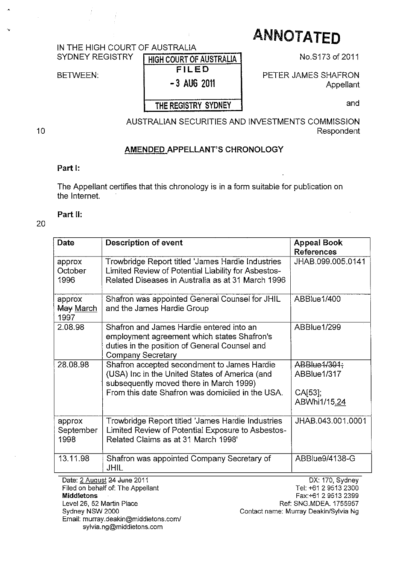# **ANNOTATED**

## IN THE HIGH COURT OF AUSTRALIA<br>SYDNEY REGISTRY FUGU COUPT OF

BETWEEN:

### HIGH COURT OF AUSTRALIA FILED - 3 AUG 2011

#### THE REGISTRY SYDNEY

No.S173 of 2011

PETER JAMES SHAFRON Appellant

and

AUSTRALIAN SECURITIES AND INVESTMENTS COMMISSION Respondent

#### AMENDED APPELLANT'S CHRONOLOGY

#### Part I:

The Appellant certifies that this chronology is in a form suitable for publication on the Intemet.

#### Part II:

#### 20

10

| Date                                                              | <b>Description of event</b>                                                                                                                                                                  | <b>Appeal Book</b><br><b>References</b>                                                                                            |
|-------------------------------------------------------------------|----------------------------------------------------------------------------------------------------------------------------------------------------------------------------------------------|------------------------------------------------------------------------------------------------------------------------------------|
| approx<br>October<br>1996                                         | Trowbridge Report titled 'James Hardie Industries<br>Limited Review of Potential Liability for Asbestos-<br>Related Diseases in Australia as at 31 March 1996                                | JHAB.099.005.0141                                                                                                                  |
| approx<br>May March<br>1997                                       | Shafron was appointed General Counsel for JHIL<br>and the James Hardie Group                                                                                                                 | ABBlue1/400                                                                                                                        |
| 2.08.98                                                           | Shafron and James Hardie entered into an<br>employment agreement which states Shafron's<br>duties in the position of General Counsel and<br><b>Company Secretary</b>                         | ABBlue1/299                                                                                                                        |
| 28.08.98                                                          | Shafron accepted secondment to James Hardie<br>(USA) Inc in the United States of America (and<br>subsequently moved there in March 1999)<br>From this date Shafron was domiciled in the USA. | ABBlue 1/301;<br>ABBlue1/317<br>$CA[53]$ ;<br>ABWhi1/15.24                                                                         |
| approx<br>September<br>1998                                       | Trowbridge Report titled 'James Hardie Industries<br>Limited Review of Potential Exposure to Asbestos-<br>Related Claims as at 31 March 1998'                                                | JHAB.043.001.0001                                                                                                                  |
| 13.11.98                                                          | Shafron was appointed Company Secretary of<br>JHIL                                                                                                                                           | ABBlue9/4138-G                                                                                                                     |
| <b>Middletons</b><br>Level 26, 52 Martin Place<br>Sydney NSW 2000 | Date: 2 August 24 June 2011<br>Filed on behalf of: The Appellant                                                                                                                             | DX. 170, Sydney<br>Tel: +61 2 9513 2300<br>Fax: +61 2 9513 2399<br>Ref: SNG.MDEA. 1755957<br>Contact name: Murray Deakin/Sylvia Ng |

Email: murray.deakin@middletons.com/ sylvia.ng@middletons.com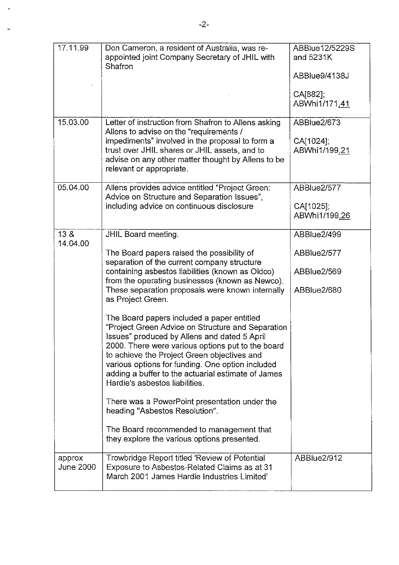| 17.11.99                   | Don Cameron, a resident of Australia, was re-<br>appointed joint Company Secretary of JHIL with<br>Shafron                                                                                                                                                                                                                                                                                      | ABBlue12/5229S<br>and 5231K<br>ABBlue9/4138J<br>CA[882];<br>ABWhi1/171.41 |
|----------------------------|-------------------------------------------------------------------------------------------------------------------------------------------------------------------------------------------------------------------------------------------------------------------------------------------------------------------------------------------------------------------------------------------------|---------------------------------------------------------------------------|
| 15.03.00                   | Letter of instruction from Shafron to Allens asking<br>Allens to advise on the "requirements /<br>impediments" involved in the proposal to form a<br>trust over JHIL shares or JHIL assets, and to<br>advise on any other matter thought by Allens to be<br>relevant or appropriate.                                                                                                            | ABBlue2/673<br>CA[1024];<br>ABWhi1/199.21                                 |
| 05.04.00                   | Allens provides advice entitled "Project Green:<br>Advice on Structure and Separation Issues",<br>including advice on continuous disclosure                                                                                                                                                                                                                                                     | ABBlue2/577<br>CA[1025];<br>ABWhi1/199.26                                 |
| 13 &<br>14.04.00           | JHIL Board meeting.                                                                                                                                                                                                                                                                                                                                                                             | ABBlue2/499                                                               |
|                            | The Board papers raised the possibility of<br>separation of the current company structure<br>containing asbestos liabilities (known as Oldco)<br>from the operating businesses (known as Newco).<br>These separation proposals were known internally<br>as Project Green.                                                                                                                       | ABBlue2/577<br>ABBlue2/569<br>ABBlue2/680                                 |
|                            | The Board papers included a paper entitled<br>"Project Green Advice on Structure and Separation<br>Issues" produced by Allens and dated 5 April<br>2000. There were various options put to the board<br>to achieve the Project Green objectives and<br>various options for funding. One option included<br>adding a buffer to the actuarial estimate of James<br>Hardie's asbestos liabilities. |                                                                           |
|                            | There was a PowerPoint presentation under the<br>heading "Asbestos Resolution".                                                                                                                                                                                                                                                                                                                 |                                                                           |
|                            | The Board recommended to management that<br>they explore the various options presented.                                                                                                                                                                                                                                                                                                         |                                                                           |
| approx<br><b>June 2000</b> | Trowbridge Report titled 'Review of Potential<br>Exposure to Asbestos-Related Claims as at 31<br>March 2001 James Hardie Industries Limited'                                                                                                                                                                                                                                                    | ABBlue2/912                                                               |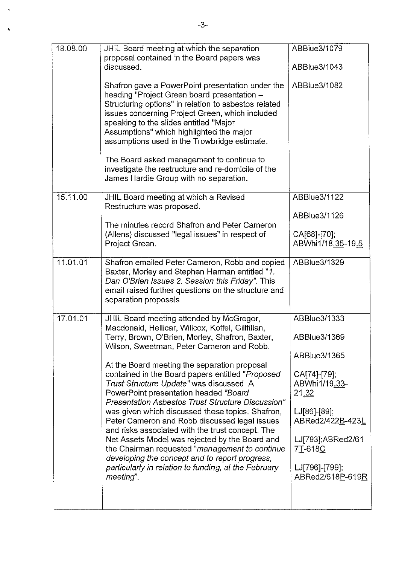| 18.08.00 | JHIL Board meeting at which the separation<br>proposal contained in the Board papers was                                                                                                                                                                                                                                                         | ABBlue3/1079                                  |
|----------|--------------------------------------------------------------------------------------------------------------------------------------------------------------------------------------------------------------------------------------------------------------------------------------------------------------------------------------------------|-----------------------------------------------|
|          | discussed.                                                                                                                                                                                                                                                                                                                                       | ABBlue3/1043                                  |
|          | Shafron gave a PowerPoint presentation under the<br>heading "Project Green board presentation -<br>Structuring options" in relation to asbestos related<br>issues concerning Project Green, which included<br>speaking to the slides entitled "Major<br>Assumptions" which highlighted the major<br>assumptions used in the Trowbridge estimate. | ABBlue3/1082                                  |
|          | The Board asked management to continue to<br>investigate the restructure and re-domicile of the<br>James Hardie Group with no separation.                                                                                                                                                                                                        |                                               |
| 15.11.00 | JHIL Board meeting at which a Revised<br>Restructure was proposed.                                                                                                                                                                                                                                                                               | <b>ABBlue3/1122</b>                           |
|          | The minutes record Shafron and Peter Cameron                                                                                                                                                                                                                                                                                                     | ABBlue3/1126                                  |
|          | (Allens) discussed "legal issues" in respect of<br>Project Green.                                                                                                                                                                                                                                                                                | CA[68]-[70];<br>ABWhi1/18.35-19.5             |
| 11.01.01 | Shafron emailed Peter Cameron, Robb and copied<br>Baxter, Morley and Stephen Harman entitled "1.<br>Dan O'Brien Issues 2. Session this Friday". This<br>email raised further questions on the structure and<br>separation proposals                                                                                                              | ABBlue3/1329                                  |
| 17.01.01 | JHIL Board meeting attended by McGregor,<br>Macdonald, Hellicar, Willcox, Koffel, Gillfillan,                                                                                                                                                                                                                                                    | ABBlue3/1333                                  |
|          | Terry, Brown, O'Brien, Morley, Shafron, Baxter,<br>Wilson, Sweetman, Peter Cameron and Robb.                                                                                                                                                                                                                                                     | ABBlue3/1369                                  |
|          | At the Board meeting the separation proposal                                                                                                                                                                                                                                                                                                     | ABBlue3/1365                                  |
|          | contained in the Board papers entitled "Proposed<br>Trust Structure Update" was discussed. A<br>PowerPoint presentation headed "Board<br>Presentation Asbestos Trust Structure Discussion".                                                                                                                                                      | CA[74]-[79];<br>ABWhi1/19.33-<br><u>21.32</u> |
|          | was given which discussed these topics. Shafron,<br>Peter Cameron and Robb discussed legal issues<br>and risks associated with the trust concept. The                                                                                                                                                                                            | $LJ[86]-[89];$<br>ABRed2/422B-423L            |
|          | Net Assets Model was rejected by the Board and<br>the Chairman requested "management to continue<br>developing the concept and to report progress,                                                                                                                                                                                               | LJ[793];ABRed2/61<br>7T-618C                  |
|          | particularly in relation to funding, at the February<br>meeting".                                                                                                                                                                                                                                                                                | LJ[796]-[799];<br>ABRed2/618P-619R            |
|          |                                                                                                                                                                                                                                                                                                                                                  |                                               |

į.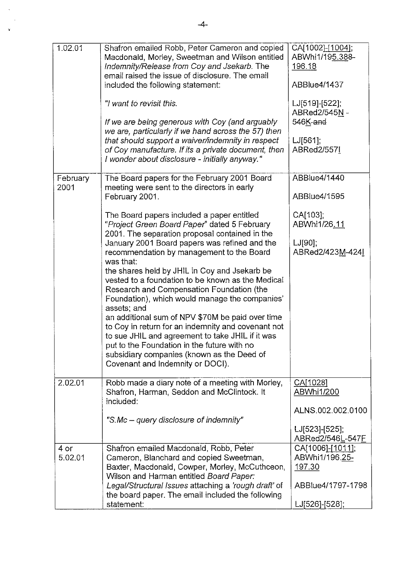| 1.02.01          | Shafron emailed Robb, Peter Cameron and copied<br>Macdonald, Morley, Sweetman and Wilson entitled<br>Indemnity/Release from Coy and Jsekarb. The<br>email raised the issue of disclosure. The email<br>included the following statement:<br>"I want to revisit this.<br>If we are being generous with Coy (and arguably<br>we are, particularly if we hand across the 57) then<br>that should support a waiver/indemnity in respect<br>of Coy manufacture. If its a private document, then<br>I wonder about disclosure - initially anyway."                                                                                                                                                                                                                               | CA[1002]-[1004];<br>ABWhi1/195.388-<br>196.18<br>ABBlue4/1437<br>LJ[519]-[522];<br>ABRed2/545N -<br>546K-and<br>$LJ[561]$ ;<br>ABRed2/557I |
|------------------|----------------------------------------------------------------------------------------------------------------------------------------------------------------------------------------------------------------------------------------------------------------------------------------------------------------------------------------------------------------------------------------------------------------------------------------------------------------------------------------------------------------------------------------------------------------------------------------------------------------------------------------------------------------------------------------------------------------------------------------------------------------------------|--------------------------------------------------------------------------------------------------------------------------------------------|
| February<br>2001 | The Board papers for the February 2001 Board<br>meeting were sent to the directors in early<br>February 2001.                                                                                                                                                                                                                                                                                                                                                                                                                                                                                                                                                                                                                                                              | ABBlue4/1440<br>ABBlue4/1595                                                                                                               |
|                  | The Board papers included a paper entitled<br>"Project Green Board Paper" dated 5 February<br>2001. The separation proposal contained in the<br>January 2001 Board papers was refined and the<br>recommendation by management to the Board<br>was that:<br>the shares held by JHIL in Coy and Jsekarb be<br>vested to a foundation to be known as the Medical<br>Research and Compensation Foundation (the<br>Foundation), which would manage the companies'<br>assets; and<br>an additional sum of NPV \$70M be paid over time<br>to Coy in return for an indemnity and covenant not<br>to sue JHIL and agreement to take JHIL if it was<br>put to the Foundation in the future with no<br>subsidiary companies (known as the Deed of<br>Covenant and Indemnity or DOCI). | CA[103];<br>ABWhi1/26.11<br>$LJ[90]$ ;<br>ABRed2/423M-424                                                                                  |
| 2.02.01          | Robb made a diary note of a meeting with Morley,<br>Shafron, Harman, Seddon and McClintock. It<br>included:<br>"S.Mc – query disclosure of indemnity"                                                                                                                                                                                                                                                                                                                                                                                                                                                                                                                                                                                                                      | CA[1028]<br><b>ABWhi1/200</b><br>ALNS.002.002.0100<br>LJ[523]-[525];                                                                       |
|                  |                                                                                                                                                                                                                                                                                                                                                                                                                                                                                                                                                                                                                                                                                                                                                                            | ABRed2/546L-547F                                                                                                                           |
| 4 or<br>5.02.01  | Shafron emailed Macdonald, Robb, Peter<br>Cameron, Blanchard and copied Sweetman,<br>Baxter, Macdonald, Cowper, Morley, McCuthceon,<br>Wilson and Harman entitled Board Paper:<br>Legal/Structural Issues attaching a 'rough draft' of                                                                                                                                                                                                                                                                                                                                                                                                                                                                                                                                     | CA[1006]-[1011];<br>ABWhi1/196.25-<br>197,30<br>ABBlue4/1797-1798                                                                          |
|                  | the board paper. The email included the following<br>statement:                                                                                                                                                                                                                                                                                                                                                                                                                                                                                                                                                                                                                                                                                                            | LJ[526]-[528];                                                                                                                             |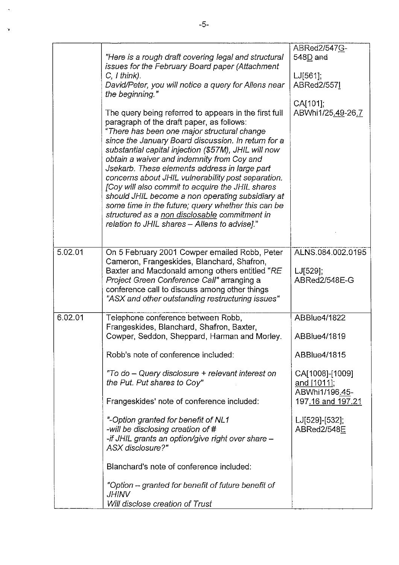|         | "Here is a rough draft covering legal and structural                                                | ABRed2/547G-<br>$548D$ and    |
|---------|-----------------------------------------------------------------------------------------------------|-------------------------------|
|         | issues for the February Board paper (Attachment                                                     |                               |
|         | $C, I$ think).                                                                                      | $LJ[561]$ ;                   |
|         | David/Peter, you will notice a query for Allens near                                                | ABRed2/5571                   |
|         | the beginning."                                                                                     |                               |
|         |                                                                                                     | CA[101];                      |
|         | The query being referred to appears in the first full                                               | ABWhi1/25.49-26.7             |
|         | paragraph of the draft paper, as follows:<br>"There has been one major structural change            |                               |
|         | since the January Board discussion. In return for a                                                 |                               |
|         | substantial capital injection (\$57M), JHIL will now                                                |                               |
|         | obtain a waiver and indemnity from Coy and                                                          |                               |
|         | Jsekarb. These elements address in large part                                                       |                               |
|         | concerns about JHIL vulnerability post separation.                                                  |                               |
|         | [Coy will also commit to acquire the JHIL shares                                                    |                               |
|         | should JHIL become a non operating subsidiary at                                                    |                               |
|         | some time in the future; query whether this can be<br>structured as a non disclosable commitment in |                               |
|         | relation to JHIL shares - Allens to advise]."                                                       |                               |
|         |                                                                                                     |                               |
|         |                                                                                                     |                               |
| 5.02.01 | On 5 February 2001 Cowper emailed Robb, Peter                                                       | ALNS.084.002.0195             |
|         | Cameron, Frangeskides, Blanchard, Shafron,                                                          |                               |
|         | Baxter and Macdonald among others entitled "RE                                                      | $LJ[529]$ ;                   |
|         | Project Green Conference Call" arranging a<br>conference call to discuss among other things         | ABRed2/548E-G                 |
|         | "ASX and other outstanding restructuring issues"                                                    |                               |
|         |                                                                                                     |                               |
| 6.02.01 | Telephone conference between Robb,                                                                  | ABBlue4/1822                  |
|         | Frangeskides, Blanchard, Shafron, Baxter,                                                           |                               |
|         | Cowper, Seddon, Sheppard, Harman and Morley.                                                        | ABBlue4/1819                  |
|         | Robb's note of conference included:                                                                 | ABBlue4/1815                  |
|         |                                                                                                     |                               |
|         | "To do – Query disclosure + relevant interest on                                                    | CA[1008]-[1009]               |
|         | the Put. Put shares to Coy"                                                                         | and [1011]:                   |
|         |                                                                                                     | ABWhi1/196.45-                |
|         | Frangeskides' note of conference included:                                                          | 197.16 and 197.21             |
|         |                                                                                                     |                               |
|         | "-Option granted for benefit of NL1<br>-will be disclosing creation of #                            | LJ[529]-[532];<br>ABRed2/548E |
|         | -if JHIL grants an option/give right over share -                                                   |                               |
|         | <b>ASX</b> disclosure?"                                                                             |                               |
|         |                                                                                                     |                               |
|         | Blanchard's note of conference included:                                                            |                               |
|         |                                                                                                     |                               |
|         | "Option – granted for benefit of future benefit of<br><i>JHINV</i>                                  |                               |
|         | Will disclose creation of Trust                                                                     |                               |
|         |                                                                                                     |                               |

ÿ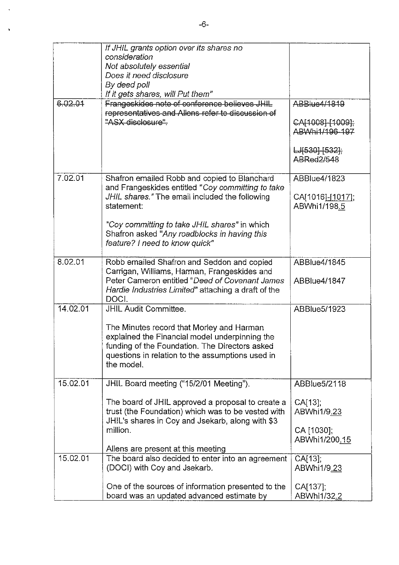|          | If JHIL grants option over its shares no<br>consideration<br>Not absolutely essential<br>Does it need disclosure<br>By deed poll<br>If it gets shares, will Put them"                                           |                                     |
|----------|-----------------------------------------------------------------------------------------------------------------------------------------------------------------------------------------------------------------|-------------------------------------|
| 6.02.01  | Frangeskides note of conference believes JHIL                                                                                                                                                                   | ABBlue4/1819                        |
|          | representatives and Allens refer to discussion of<br>"ASX disclosure".                                                                                                                                          | CA[1008] [1009];<br>ABWhi1/196-197  |
|          |                                                                                                                                                                                                                 | $LJ[630]$ - $[532]$ ;<br>ABRed2/548 |
| 7.02.01  | Shafron emailed Robb and copied to Blanchard<br>and Frangeskides entitled "Coy committing to take                                                                                                               | ABBlue4/1823                        |
|          | JHIL shares." The email included the following<br>statement:                                                                                                                                                    | CA[1016]-[1017];<br>ABWhi1/198.5    |
|          | "Coy committing to take JHIL shares" in which<br>Shafron asked "Any roadblocks in having this<br>feature? I need to know quick"                                                                                 |                                     |
| 8.02.01  | Robb emailed Shafron and Seddon and copied                                                                                                                                                                      | ABBlue4/1845                        |
|          | Carrigan, Williams, Harman, Frangeskides and<br>Peter Cameron entitled "Deed of Covenant James<br>Hardie Industries Limited" attaching a draft of the<br>DOCI.                                                  | ABBlue4/1847                        |
| 14.02.01 | <b>JHIL Audit Committee.</b>                                                                                                                                                                                    | ABBlue5/1923                        |
|          | The Minutes record that Morley and Harman<br>explained the Financial model underpinning the<br>funding of the Foundation. The Directors asked<br>questions in relation to the assumptions used in<br>the model. |                                     |
| 15.02.01 | JHIL Board meeting ("15/2/01 Meeting").                                                                                                                                                                         | ABBlue5/2118                        |
|          | The board of JHIL approved a proposal to create a<br>trust (the Foundation) which was to be vested with<br>JHIL's shares in Coy and Jsekarb, along with \$3                                                     | $CA[13]$ ;<br>ABWhi1/9.23           |
|          | million.                                                                                                                                                                                                        | CA [1030];<br>ABWhi1/200.15         |
| 15.02.01 | Allens are present at this meeting<br>The board also decided to enter into an agreement                                                                                                                         | CA[13];                             |
|          | (DOCI) with Coy and Jsekarb.                                                                                                                                                                                    | ABWhi1/9.23                         |
|          | One of the sources of information presented to the<br>board was an updated advanced estimate by                                                                                                                 | CA[137],<br>ABWhi1/32.2             |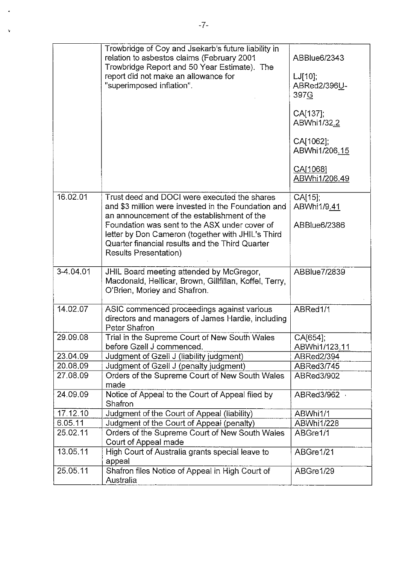|           | Trowbridge of Coy and Jsekarb's future liability in<br>relation to asbestos claims (February 2001<br>Trowbridge Report and 50 Year Estimate). The                              | ABBlue6/2343                       |
|-----------|--------------------------------------------------------------------------------------------------------------------------------------------------------------------------------|------------------------------------|
|           | report did not make an allowance for<br>"superimposed inflation".                                                                                                              | $LJ[10]$ ;<br>ABRed2/396U-<br>397G |
|           |                                                                                                                                                                                | CA[137];<br>ABWhi1/32.2            |
|           |                                                                                                                                                                                | CA[1062];<br>ABWhi1/206.15         |
|           |                                                                                                                                                                                | CA[1068]<br>ABWhi1/206.49          |
| 16.02.01  | Trust deed and DOCI were executed the shares<br>and \$3 million were invested in the Foundation and<br>an announcement of the establishment of the                             | CA[15]<br>ABWhi1/9.41              |
|           | Foundation was sent to the ASX under cover of<br>letter by Don Cameron (together with JHIL's Third<br>Quarter financial results and the Third Quarter<br>Results Presentation) | ABBlue6/2386                       |
|           |                                                                                                                                                                                |                                    |
| 3-4.04.01 | JHIL Board meeting attended by McGregor,<br>Macdonald, Hellicar, Brown, Gillfillan, Koffel, Terry,<br>O'Brien, Morley and Shafron.                                             | ABBlue7/2839                       |
| 14.02.07  | ASIC commenced proceedings against various<br>directors and managers of James Hardie, including<br>Peter Shafron                                                               | ABRed1/1                           |
| 29.09.08  | Trial in the Supreme Court of New South Wales<br>before Gzell J commenced.                                                                                                     | CA[654];<br>ABWhi1/123.11          |
| 23.04.09  | Judgment of Gzell J (liability judgment)                                                                                                                                       | ABRed2/394                         |
| 20.08.09  | Judgment of Gzell J (penalty judgment)                                                                                                                                         | ABRed3/745                         |
| 27.08.09  | Orders of the Supreme Court of New South Wales<br>made                                                                                                                         | ABRed3/902                         |
| 24.09.09  | Notice of Appeal to the Court of Appeal filed by<br>Shafron                                                                                                                    | ABRed3/962                         |
| 17.12.10  | Judgment of the Court of Appeal (liability)                                                                                                                                    | ABWhi1/1                           |
| 6.05.11   | Judgment of the Court of Appeal (penalty)                                                                                                                                      | ABWhi1/228                         |
| 25.02.11  | Orders of the Supreme Court of New South Wales<br>Court of Appeal made                                                                                                         | ABGre1/1                           |
| 13.05.11  | High Court of Australia grants special leave to<br>appeal                                                                                                                      | ABGre1/21                          |
| 25.05.11  | Shafron files Notice of Appeal in High Court of<br>Australia                                                                                                                   | ABGre1/29                          |